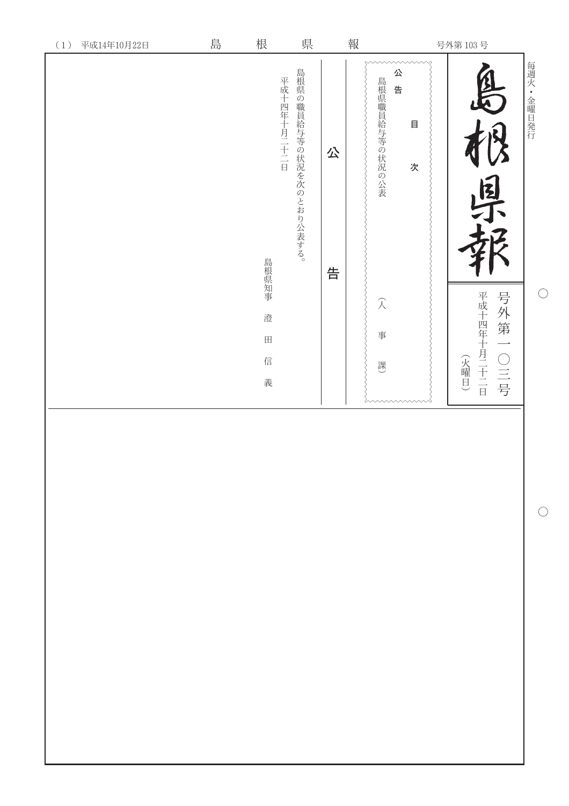| 平成14年10月22日<br>$\left( \,1\,\right)$ | 島 | 根                         | 県                       |   | 報 |                                              | 号外第 103号                        |            |
|--------------------------------------|---|---------------------------|-------------------------|---|---|----------------------------------------------|---------------------------------|------------|
|                                      |   | 平成十四年十月二十二日               | 島根県の職員給与等の状況を次のとおり公表する。 | 公 |   | 公<br>島根県職員給与等の状況の公表<br>告<br>$\boxminus$<br>次 | 是太<br>県                         | 每週火,金曜日発行  |
|                                      |   | 島根県知事                     |                         | 告 |   |                                              |                                 |            |
|                                      |   | 澄<br>$\boxplus$<br>信<br>義 |                         |   |   | $\widehat{\curlywedge}$<br>事<br>謏            | 平成十四年十月二十二日<br>号外第一〇三号<br>(火曜日) | $\bigcirc$ |
|                                      |   |                           |                         |   |   |                                              |                                 |            |
|                                      |   |                           |                         |   |   |                                              |                                 |            |
|                                      |   |                           |                         |   |   |                                              |                                 |            |
|                                      |   |                           |                         |   |   |                                              |                                 |            |
|                                      |   |                           |                         |   |   |                                              |                                 |            |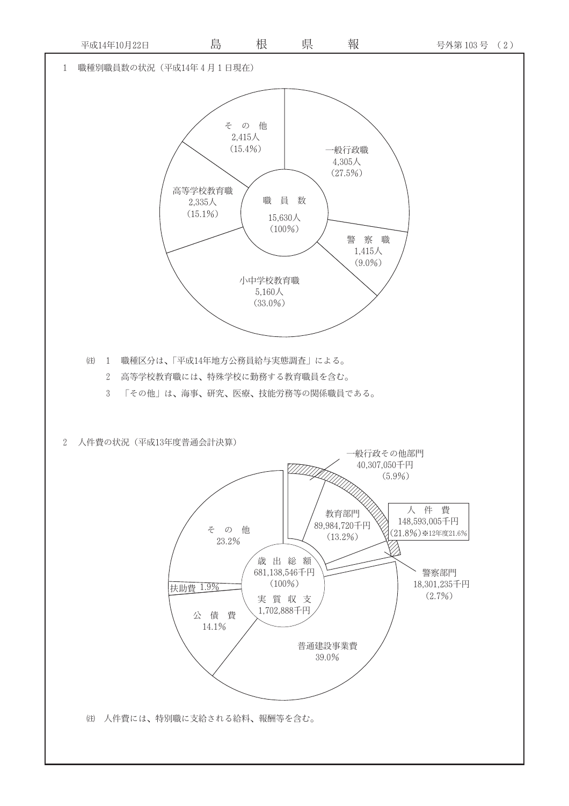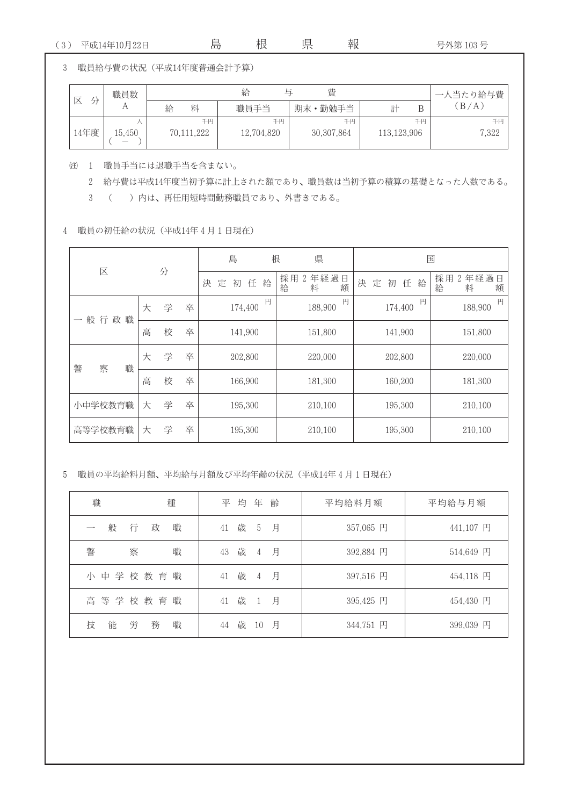県

報

3 職員給与費の状況 (平成14年度普通会計予算)

| 分<br>区 | 職員数    |   |            | 給          | 費<br>与.    |             |    | 一人当たり給与費 |
|--------|--------|---|------------|------------|------------|-------------|----|----------|
|        | A      | 給 | 料          | 職員手当       | 期末·勤勉手当    | 計           | Β  | (B/A)    |
|        |        |   | 千円         | 千円         | 千円         |             | 千円 | 千円       |
| 14年度   | 15.450 |   | 70.111.222 | 12,704,820 | 30,307,864 | 113,123,906 |    | 7,322    |

(注) 1 職員手当には退職手当を含まない。

2 給与費は平成14年度当初予算に計上された額であり、職員数は当初予算の積算の基礎となった人数である。

3 ( )内は、再任用短時間勤務職員であり、外書きである。

4 職員の初任給の状況 (平成14年4月1日現在)

|   |         |   |   |   |        | 島 |         |   | 県<br>根                |        |   |         |   |   | 国                          |
|---|---------|---|---|---|--------|---|---------|---|-----------------------|--------|---|---------|---|---|----------------------------|
|   | 区       |   | 分 |   | 決<br>定 | 初 | 任       | 給 | 採用<br>2年経過日<br>給<br>料 | 决<br>額 | 定 | 初       | 任 | 給 | 採用<br>2年経過日<br>給<br>料<br>額 |
|   | 般行政職    | 大 | 学 | 卒 |        |   | 174,400 | 円 | 188,900               | 円      |   | 174,400 |   | 円 | 円<br>188,900               |
|   |         | 高 | 校 | 卒 |        |   | 141,900 |   | 151,800               |        |   | 141,900 |   |   | 151,800                    |
| 警 | 職<br>察  | 大 | 学 | 卒 |        |   | 202,800 |   | 220,000               |        |   | 202,800 |   |   | 220,000                    |
|   |         | 高 | 校 | 卒 |        |   | 166,900 |   | 181,300               |        |   | 160,200 |   |   | 181,300                    |
|   | 小中学校教育職 | 大 | 学 | 卒 |        |   | 195,300 |   | 210,100               |        |   | 195,300 |   |   | 210,100                    |
|   | 高等学校教育職 | 大 | 学 | 卒 |        |   | 195,300 |   | 210.100               |        |   | 195,300 |   |   | 210,100                    |

5 職員の平均給料月額、平均給与月額及び平均年齢の状況 (平成14年4月1日現在)

| 種<br>職                | 均 年<br>齢<br>平                                                                                                                                                                                                                                                                                                                                                                                       | 平均給料月額    | 平均給与月額    |
|-----------------------|-----------------------------------------------------------------------------------------------------------------------------------------------------------------------------------------------------------------------------------------------------------------------------------------------------------------------------------------------------------------------------------------------------|-----------|-----------|
| 職<br>般<br>政<br>行      | 歳<br>月<br>41<br>5                                                                                                                                                                                                                                                                                                                                                                                   | 357,065 円 | 441,107 円 |
| 警<br>職<br>察           | 歳<br>月<br>43<br>$4\phantom{.0000}\phantom{.0000}\phantom{.0000}\phantom{.0000}\phantom{.0000}\phantom{.0000}\phantom{.0000}\phantom{.0000}\phantom{.0000}\phantom{.0000}\phantom{.0000}\phantom{.0000}\phantom{.0000}\phantom{.0000}\phantom{.0000}\phantom{.0000}\phantom{.0000}\phantom{.0000}\phantom{.0000}\phantom{.0000}\phantom{.0000}\phantom{.0000}\phantom{.0000}\phantom{.0000}\phantom$ | 392,884 円 | 514,649 円 |
| 小中学校教育職               | 歳 4<br>月<br>41                                                                                                                                                                                                                                                                                                                                                                                      | 397,516 円 | 454,118 円 |
| 高等学校教育職               | 歳 1<br>月<br>41                                                                                                                                                                                                                                                                                                                                                                                      | 395,425 円 | 454,430 円 |
| 技<br>労<br>職<br>能<br>務 | 歳 10<br>44<br>月                                                                                                                                                                                                                                                                                                                                                                                     | 344,751 円 | 399,039 円 |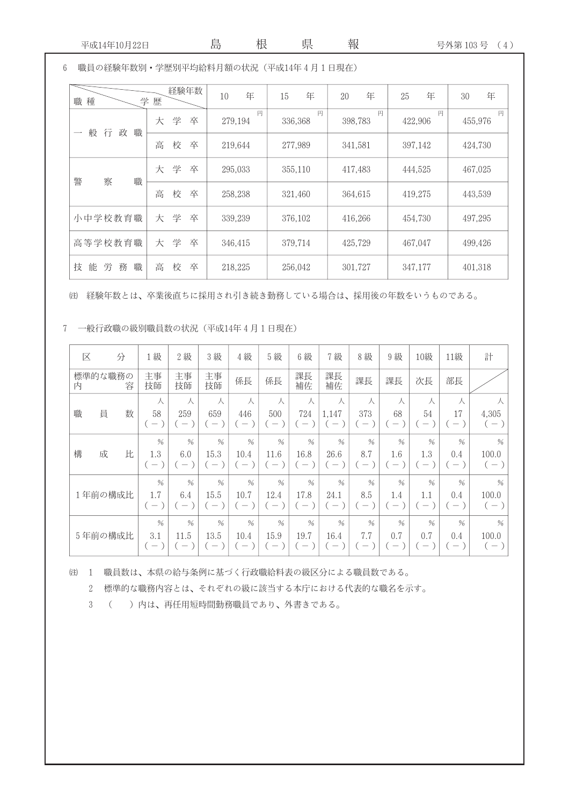6 職員の経験年数別·学歴別平均給料月額の状況 (平成14年4月1日現在)

| 職 種                                      | 経験年数<br>学歴  | 年<br>10      | 年<br>15      | 年<br>20      | 年<br>25      | 年<br>30      |
|------------------------------------------|-------------|--------------|--------------|--------------|--------------|--------------|
| 般行<br>職<br>政<br>$\overline{\phantom{a}}$ | 学<br>卒<br>大 | 円<br>279,194 | 円<br>336,368 | 円<br>398,783 | 円<br>422,906 | 円<br>455,976 |
|                                          | 校<br>高<br>卒 | 219,644      | 277,989      | 341.581      | 397,142      | 424,730      |
| 警<br>察<br>職                              | 大 学<br>卒    | 295,033      | 355,110      | 417,483      | 444,525      | 467,025      |
|                                          | 高<br>校<br>卒 | 258,238      | 321.460      | 364.615      | 419.275      | 443,539      |
| 小中学校教育職                                  | 大 学<br>卒    | 339,239      | 376,102      | 416,266      | 454.730      | 497.295      |
| 高等学校教育職                                  | 学<br>卒<br>大 | 346,415      | 379,714      | 425,729      | 467,047      | 499,426      |
| 技<br>職<br>能<br>労<br>務                    | 高<br>校<br>卒 | 218.225      | 256,042      | 301.727      | 347.177      | 401.318      |

(注) 経験年数とは、卒業後直ちに採用され引き続き勤務している場合は、採用後の年数をいうものである。

7 一般行政職の級別職員数の状況 (平成14年4月1日現在)

| 区 | 分            | 1級                                             | 2級                                               | 3級                                                       | 4級                                                       | 5級                                        | 6級                                          | 7級                                                         | 8級                              | 9級                                               | 10級                                                         | 11級                                              | 計                                        |
|---|--------------|------------------------------------------------|--------------------------------------------------|----------------------------------------------------------|----------------------------------------------------------|-------------------------------------------|---------------------------------------------|------------------------------------------------------------|---------------------------------|--------------------------------------------------|-------------------------------------------------------------|--------------------------------------------------|------------------------------------------|
| 内 | 標準的な職務の<br>容 | 主事<br>技師                                       | 主事<br>技師                                         | 主事<br>技師                                                 | 係長                                                       | 係長                                        | 課長<br>補佐                                    | 課長<br>補佐                                                   | 課長                              | 課長                                               | 次長                                                          | 部長                                               |                                          |
| 職 | 数<br>員       | 人<br>58<br>$\hspace{0.1mm}-\hspace{0.1mm}$     | 人<br>259<br>$\overline{\phantom{a}}$             | 人<br>659<br>$\overline{\phantom{m}}$                     | 人<br>446<br>$\overline{\phantom{m}}$                     | 人<br>500<br>$\overline{\phantom{m}}$      | 人<br>724<br>$\hspace{0.1mm}-\hspace{0.1mm}$ | 人<br>1,147<br>$\hspace{0.1mm}-\hspace{0.1mm}$              | 人<br>373<br>$\hspace{0.1mm}$    | 人<br>68<br>$\overline{\phantom{m}}$              | 人<br>54<br>$\overline{\phantom{m}}$                         | 人<br>17<br>$\overline{\phantom{m}}$              | 人<br>4,305<br>$-$ )                      |
| 構 | 比<br>成       | $\%$<br>1.3<br>$\hspace{0.1mm}-\hspace{0.1mm}$ | $\%$<br>6.0<br>$\hspace{0.1mm}-\hspace{0.1mm}$   | $\frac{0}{0}$<br>15.3<br>$\hspace{0.1mm}-\hspace{0.1mm}$ | $\frac{0}{6}$<br>10.4<br>$\hspace{0.1mm}-\hspace{0.1mm}$ | $\frac{0}{6}$<br>11.6<br>$\hspace{0.1mm}$ | $\%$<br>16.8<br>$\hspace{0.1mm}$            | $\frac{0}{6}$<br>26.6<br>$\hspace{0.1mm}$                  | $\%$<br>8.7<br>$\hspace{0.1mm}$ | $\%$<br>1.6<br>$\overline{\phantom{m}}$          | $\frac{0}{6}$<br>1.3<br>$\overline{\phantom{m}}$            | $\frac{0}{0}$<br>0.4<br>$\overline{\phantom{0}}$ | $\frac{0}{0}$<br>100.0<br>$(-)$          |
|   | 1年前の構成比      | $\frac{0}{6}$<br>1.7<br>$($ $-$                | $\%$<br>6.4<br>$\hspace{0.1cm}$ $\hspace{0.1cm}$ | $\frac{0}{0}$<br>15.5<br>$\hspace{0.1mm}$                | $\frac{0}{6}$<br>10.7<br>$\hspace{0.1mm}-\hspace{0.1mm}$ | $\frac{0}{0}$<br>12.4<br>$\hspace{0.1mm}$ | $\%$<br>17.8<br>$\overline{a}$              | $\frac{0}{0}$<br>24.1<br>$\hspace{0.1mm}$ $\hspace{0.1mm}$ | $\%$<br>8.5<br>$\hspace{0.1mm}$ | $\frac{0}{6}$<br>1.4<br>$\overline{\phantom{m}}$ | $\frac{0}{6}$<br>$1.1\,$<br>$\hspace{0.1mm}-\hspace{0.1mm}$ | $\%$<br>0.4<br>$($ $ )$                          | $\frac{0}{6}$<br>100.0<br>$(-)$          |
|   | 5年前の構成比      | $\%$<br>3.1<br>$($ $-$                         | $\%$<br>11.5<br>$\hspace{0.1mm}-\hspace{0.1mm}$  | $\frac{0}{0}$<br>13.5<br>$\overline{\phantom{m}}$        | $\%$<br>10.4<br>$\overline{\phantom{a}}$                 | $\frac{0}{0}$<br>15.9                     | $\%$<br>19.7<br>$\overline{\phantom{m}}$    | $\frac{0}{6}$<br>16.4                                      | $\frac{0}{0}$<br>7.7            | $\%$<br>0.7<br>$\overline{\phantom{m}}$          | $\frac{0}{6}$<br>0.7<br>$\overbrace{\phantom{123221111}}$   | $\frac{0}{0}$<br>0.4<br>$\overline{\phantom{m}}$ | $\frac{0}{6}$<br>100.0<br>$\overline{a}$ |

(注) 1 職員数は、本県の給与条例に基づく行政職給料表の級区分による職員数である。

2 標準的な職務内容とは、それぞれの級に該当する本庁における代表的な職名を示す。

3 ( )内は、再任用短時間勤務職員であり、外書きである。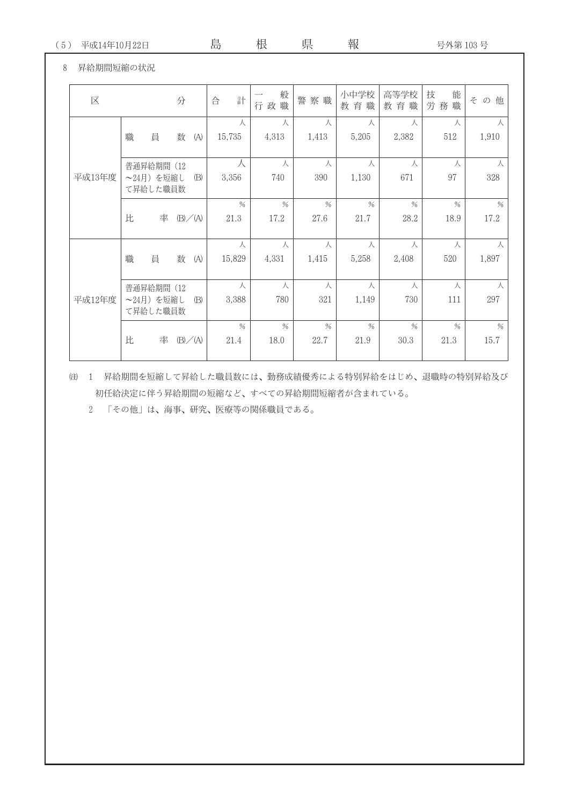## 8 昇給期間短縮の状況

| 区      | 分                                           | 計<br>合                | 般<br>行政<br>職          | 警察職                   | 小中学校<br>教育職           | 高等学校<br>教育職           | 技<br>能<br>労務職         | その他                   |
|--------|---------------------------------------------|-----------------------|-----------------------|-----------------------|-----------------------|-----------------------|-----------------------|-----------------------|
|        | 職<br>員<br>数<br>(A)                          | 人<br>15,735           | 人<br>4,313            | 人<br>1,413            | 人<br>5,205            | 人<br>2,382            | 人<br>512              | 人<br>1,910            |
| 平成13年度 | 普通昇給期間 (12<br>~24月) を短縮し<br>(B)<br>て昇給した職員数 | 人<br>3,356            | 人<br>740              | 人<br>390              | 人<br>1,130            | 人<br>671              | 人<br>97               | 人<br>328              |
|        | 比<br>率<br>(B) / (A)                         | $\frac{0}{6}$<br>21.3 | $\frac{0}{6}$<br>17.2 | $\frac{0}{6}$<br>27.6 | $\frac{0}{6}$<br>21.7 | $\frac{0}{6}$<br>28.2 | $\frac{0}{6}$<br>18.9 | $\frac{0}{6}$<br>17.2 |
|        | 員<br>数<br>職<br>(A)                          | 人<br>15,829           | 人<br>4,331            | 人<br>1,415            | 人<br>5,258            | 人<br>2,408            | 人<br>520              | 人<br>1,897            |
| 平成12年度 | 普通昇給期間 (12<br>~24月) を短縮し<br>(B)<br>て昇給した職員数 | 人<br>3,388            | 人<br>780              | 人<br>321              | 人<br>1,149            | 人<br>730              | 人<br>111              | 人<br>297              |
|        | 比<br>率<br>(B) / (A)                         | $\frac{0}{6}$<br>21.4 | $\frac{0}{6}$<br>18.0 | $\frac{0}{6}$<br>22.7 | $\frac{0}{6}$<br>21.9 | $\frac{0}{6}$<br>30.3 | $\frac{0}{6}$<br>21.3 | $\frac{0}{6}$<br>15.7 |

 $\mathrm{e}$  1 昇給期間を短縮して昇給した職員数には、勤務成績優秀による特別昇給をはじめ、退職時の特別昇給及び 初任給決定に伴う昇給期間の短縮など、すべての昇給期間短縮者が含まれている。

2 「その他」は、海事、研究、医療等の関係職員である。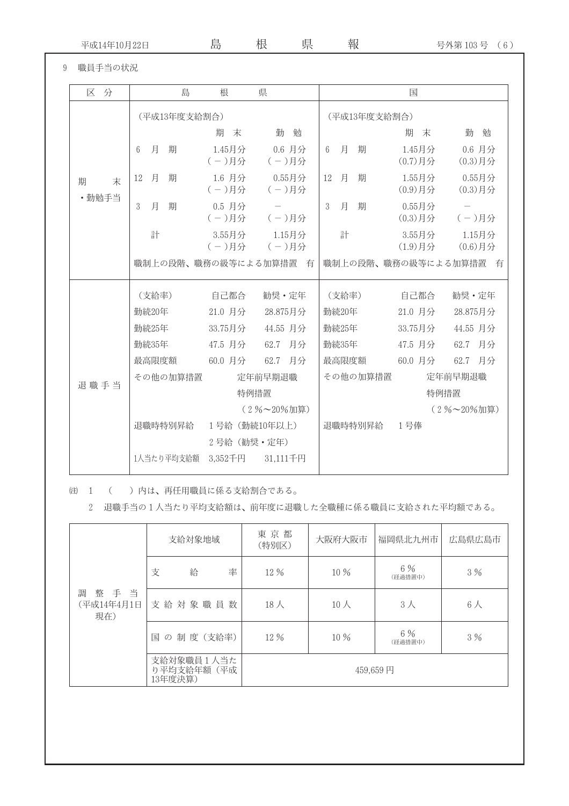島

報

県

9 職員手当の状況

| 区分               | 島                         | 根                  | 県                  |                       | 国                    |                      |
|------------------|---------------------------|--------------------|--------------------|-----------------------|----------------------|----------------------|
|                  | (平成13年度支給割合)              |                    |                    | (平成13年度支給割合)          |                      |                      |
|                  |                           | 期<br>末             | 勤<br>勉             |                       | 期<br>末               | 勤<br>勉               |
|                  | 月<br>期<br>$6\phantom{.}6$ | 1.45月分<br>$(-)$ 月分 | 0.6 月分<br>$(-)$ 月分 | 月<br>期<br>6           | 1.45月分<br>$(0.7)$ 月分 | 0.6 月分<br>$(0.3)$ 月分 |
| 期<br>末<br>· 勤勉手当 | 12<br>月<br>期              | 1.6 月分<br>$(-)$ 月分 | 0.55月分<br>$(-)$ 月分 | 月<br>期<br>12          | 1.55月分<br>$(0.9)$ 月分 | 0.55月分<br>$(0.3)$ 月分 |
|                  | $\mathfrak{Z}$<br>月<br>期  | 0.5 月分<br>$(-)$ 月分 | $(-)$ 月分           | 期<br>月<br>3           | 0.55月分<br>$(0.3)$ 月分 | (一)月分                |
|                  | 計                         | 3.55月分<br>$(-)$ 月分 | 1.15月分<br>(一)月分    | 計                     | 3.55月分<br>$(1.9)$ 月分 | 1.15月分<br>$(0.6)$ 月分 |
|                  | 職制上の段階、職務の級等による加算措置       |                    | 有                  | 職制上の段階、職務の級等による加算措置 有 |                      |                      |
|                  | (支給率)                     | 自己都合               | 勧奨·定年              | (支給率)                 | 自己都合                 | 勧奨・定年                |
|                  | 勤続20年                     | 21.0 月分            | 28.875月分           | 勤続20年                 | 21.0 月分              | 28.875月分             |
|                  | 勤続25年                     | 33.75月分            | 44.55 月分           | 勤続25年                 | 33.75月分              | 44.55 月分             |
|                  | 勤続35年                     | 47.5 月分            | 62.7<br>月分         | 勤続35年                 | 47.5 月分              | 月分<br>62.7           |
|                  | 最高限度額                     | 60.0 月分            | 62.7<br>月分         | 最高限度額                 | 60.0 月分              | 62.7<br>月分           |
| 退職手当             | その他の加算措置                  |                    | 定年前早期退職            | その他の加算措置              |                      | 定年前早期退職              |
|                  |                           | 特例措置               |                    |                       | 特例措置                 |                      |
|                  |                           |                    | (2%~20%加算)         |                       |                      | (2%~20%加算)           |
|                  | 退職時特別昇給                   | 1号給 (勤続10年以上)      |                    | 退職時特別昇給               | 1号俸                  |                      |
|                  |                           | 2号給(勧奨・定年)         |                    |                       |                      |                      |
|                  | 1人当たり平均支給額                | 3,352千円            | 31,111千円           |                       |                      |                      |

(注) 1 ()内は、再任用職員に係る支給割合である。

2 退職手当の1人当たり平均支給額は、前年度に退職した全職種に係る職員に支給された平均額である。

|                               | 支給対象地域                              | 東京都<br>(特別区) | 大阪府大阪市       | 福岡県北九州市        | 広島県広島市     |
|-------------------------------|-------------------------------------|--------------|--------------|----------------|------------|
|                               | 支<br>給<br>率                         | 12 %         | 10 %         | 6 %<br>(経過措置中) | 3%         |
| 整手当<br>調<br>(平成14年4月1日<br>現在) | 支給対象職員数                             | 18 $\lambda$ | $10 \lambda$ | $3\lambda$     | $6\lambda$ |
|                               | の 制 度 (支給率)<br>国                    | 12 %         | 10 %         | 6 %<br>(経過措置中) | 3%         |
|                               | 支給対象職員1人当た<br>り平均支給年額(平成<br>13年度決算) |              |              | 459,659円       |            |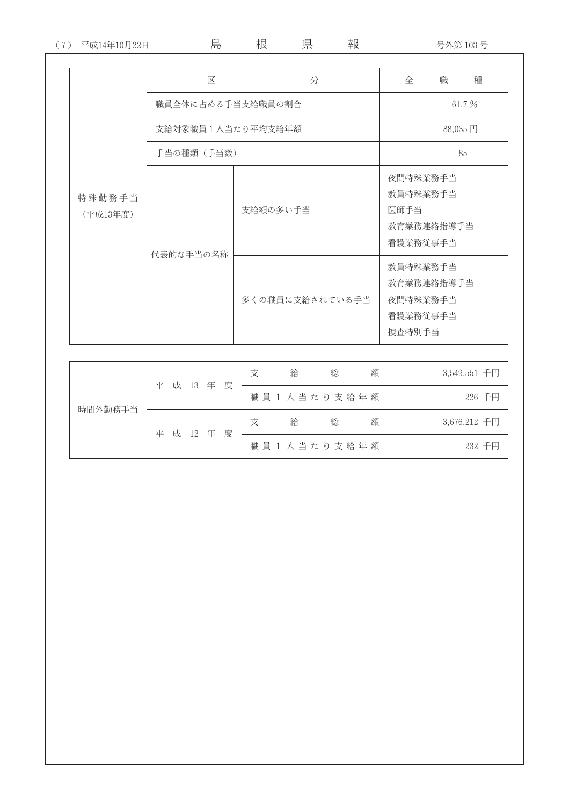県

報

島

|                    | 区                 | 分               | 職<br>種<br>全                                              |
|--------------------|-------------------|-----------------|----------------------------------------------------------|
|                    | 職員全体に占める手当支給職員の割合 |                 | 61.7 %                                                   |
|                    | 支給対象職員1人当たり平均支給年額 |                 | 88,035円                                                  |
|                    | 手当の種類 (手当数)       |                 | 85                                                       |
| 特殊勤務手当<br>(平成13年度) |                   | 支給額の多い手当        | 夜間特殊業務手当<br>教員特殊業務手当<br>医師手当<br>教育業務連絡指導手当<br>看護業務従事手当   |
|                    | 代表的な手当の名称         | 多くの職員に支給されている手当 | 教員特殊業務手当<br>教育業務連絡指導手当<br>夜間特殊業務手当<br>看護業務従事手当<br>捜査特別手当 |

|         | 平 |        | 成 13 年 | 度 | 支 | 給           | 総 | 額 | 3,549,551 千円 |
|---------|---|--------|--------|---|---|-------------|---|---|--------------|
| 時間外勤務手当 |   |        |        |   |   | 職員1人当たり支給年額 |   |   | 226 千円       |
|         | 平 | 成 12 年 |        | 度 | 支 | 給           | 総 | 額 | 3,676,212 千円 |
|         |   |        |        |   |   | 職員1人当たり支給年額 |   |   | 232 千円       |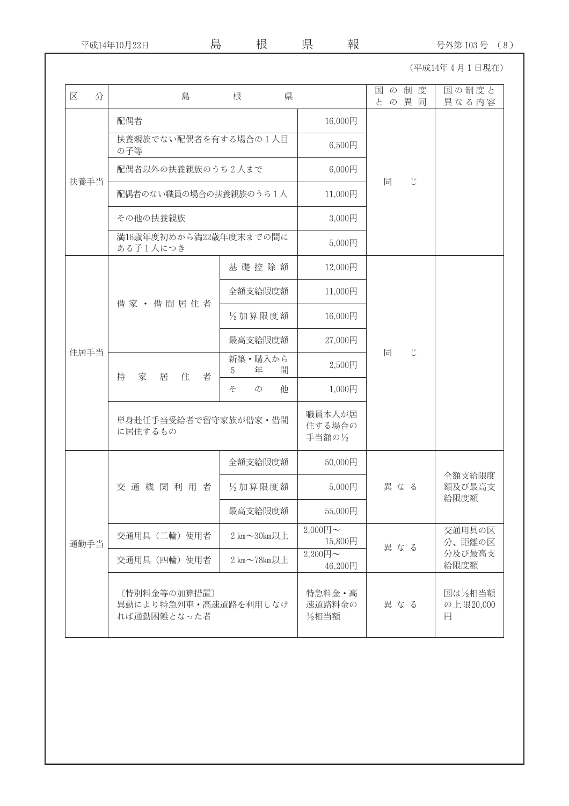島

(平成14年4月1日現在)

| 分<br>区 | 島                                                   | 根<br>県                                |                             | 国<br>の制<br>度<br>異<br>との<br>同 | 国の制度と<br>異なる内容           |
|--------|-----------------------------------------------------|---------------------------------------|-----------------------------|------------------------------|--------------------------|
|        | 配偶者                                                 |                                       | 16,000円                     |                              |                          |
|        | 扶養親族でない配偶者を有する場合の1人目<br>の子等                         |                                       | 6,500円                      |                              |                          |
|        | 配偶者以外の扶養親族のうち2人まで                                   |                                       | 6,000円                      |                              |                          |
| 扶養手当   | 配偶者のない職員の場合の扶養親族のうち1人                               |                                       | 11,000円                     | <b>U</b><br>同                |                          |
|        | その他の扶養親族                                            |                                       | 3,000円                      |                              |                          |
|        | 満16歳年度初めから満22歳年度末までの間に<br>ある子1人につき                  |                                       | 5,000円                      |                              |                          |
|        |                                                     | 基礎控除額                                 | 12,000円                     |                              |                          |
|        | 借家 · 借間居住者                                          | 全額支給限度額                               | 11,000円                     |                              |                          |
|        |                                                     | ½加算限度額                                | 16,000円                     |                              |                          |
|        |                                                     | 最高支給限度額                               | 27,000円                     |                              |                          |
| 住居手当   | 持<br>家<br>居<br>住                                    | 新築・購入から<br>2,500円<br>年<br>間<br>5<br>者 |                             | <b>U</b><br>同                |                          |
|        |                                                     | z<br>$\mathcal{O}$<br>他               | 1,000円                      |                              |                          |
|        | 単身赴任手当受給者で留守家族が借家・借間<br>に居住するもの                     |                                       | 職員本人が居<br>住する場合の<br>手当額の1/2 |                              |                          |
|        |                                                     | 全額支給限度額                               | 50,000円                     |                              |                          |
|        | 交通機関利用者                                             | ½加算限度額                                | 5,000円                      | 異 な る                        | 全額支給限度<br>額及び最高支<br>給限度額 |
|        |                                                     | 最高支給限度額                               | 55,000円                     |                              |                          |
| 通勤手当   | 交通用具 (二輪) 使用者                                       | 2 km~30km以上                           | $2,000$ 円~<br>15,800円       | 異なる                          | 交通用具の区<br>分、距離の区         |
|        | 交通用具(四輪)使用者                                         | 2 km~78km以上                           | $2,200$ 円~<br>46,200円       |                              | 分及び最高支<br>給限度額           |
|        | [特別料金等の加算措置]<br>異動により特急列車·高速道路を利用しなけ<br>れば通勤困難となった者 |                                       | 特急料金·高<br>速道路料金の<br>½相当額    | 異なる                          | 国は½相当額<br>の上限20,000<br>円 |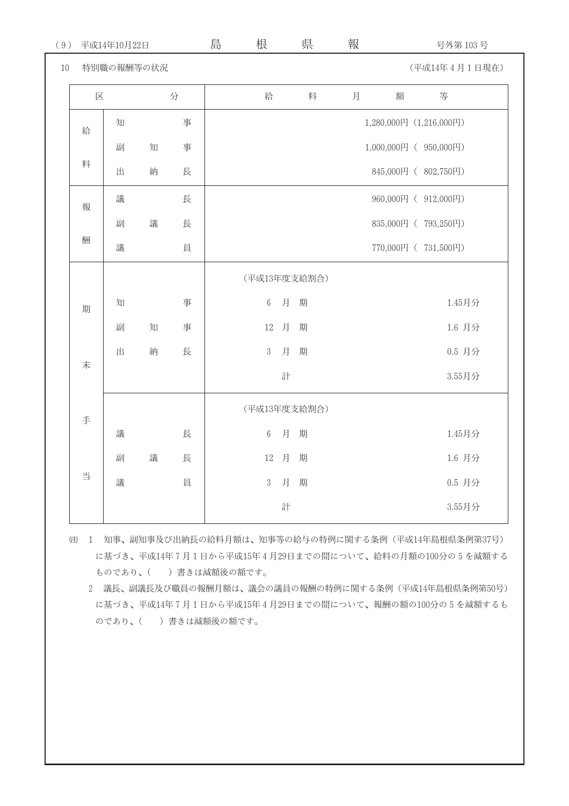| (9) |                         | 平成14年10月22日  |   |   | 島 | 根              |   | 県 | 報 |   | 号外第 103号                |
|-----|-------------------------|--------------|---|---|---|----------------|---|---|---|---|-------------------------|
| 10  | 特別職の報酬等の状況              |              |   |   |   |                |   |   |   |   | (平成14年4月1日現在)           |
|     | $\overline{\mathbb{X}}$ |              | 分 |   |   | 給              |   | 料 | 月 | 額 | 等                       |
|     | 給                       | 知            |   | 事 |   |                |   |   |   |   | 1,280,000円 (1,216,000円) |
|     |                         | 副            | 知 | 事 |   |                |   |   |   |   | 1,000,000円 ( 950,000円)  |
|     | 料                       | 出            | 納 | 長 |   |                |   |   |   |   | 845,000円 ( 802,750円)    |
|     | 報                       | 議            |   | 長 |   |                |   |   |   |   | 960,000円 ( 912,000円)    |
|     |                         | 副            | 議 | 長 |   |                |   |   |   |   | 835,000円 (793,250円)     |
|     | 酬                       | 議            |   | 員 |   |                |   |   |   |   | 770,000円 ( 731,500円)    |
|     |                         |              |   |   |   | (平成13年度支給割合)   |   |   |   |   |                         |
|     | 期                       | 知            |   | 事 |   | $6\,$          | 月 | 期 |   |   | 1.45月分                  |
|     |                         | 副            | 知 | 事 |   | $12\,$         | 月 | 期 |   |   | 1.6 月分                  |
|     | 末                       | 出            | 納 | 長 |   | $\mathfrak{Z}$ | 月 | 期 |   |   | 0.5 月分                  |
|     |                         |              |   |   |   |                | 計 |   |   |   | 3.55月分                  |
|     | 手                       | (平成13年度支給割合) |   |   |   |                |   |   |   |   |                         |
|     |                         | 議            |   | 長 |   | $6\,$          | 月 | 期 |   |   | 1.45月分                  |
|     |                         | 副            | 議 | 長 |   | $12\,$         | 月 | 期 |   |   | 1.6 月分                  |
|     | 当                       | 議            |   | 員 |   | $\mathfrak{Z}$ | 月 | 期 |   |   | 0.5 月分                  |
|     |                         |              |   |   |   |                | 計 |   |   |   | 3.55月分                  |

- (注) 1 知事、副知事及び出納長の給料月額は、知事等の給与の特例に関する条例 (平成14年島根県条例第37号) に基づき、平成14年7月1日から平成15年4月29日までの間について、給料の月額の100分の5を減額する ものであり、( )書きは減額後の額です。
	- 2 議長、副議長及び職員の報酬月額は、議会の議員の報酬の特例に関する条例(平成14年島根県条例第50号) に基づき、平成14年 7 月 1 日から平成15年 4 月29日までの間について、報酬の額の100分の 5 を減額するも のであり、()書きは減額後の額です。